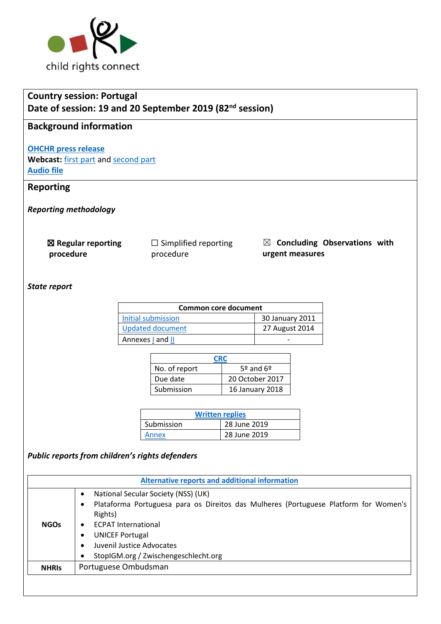

# **Country session: Portugal Date of session: 19 and 20 September 2019 (82nd session)**

## **Background information**

**[OHCHR press release](https://www.ohchr.org/EN/NewsEvents/Pages/DisplayNews.aspx?NewsID=25030&LangID=E)  Webcast:** [first part](http://webtv.un.org/search/consideration-of-portugal-2418th-meeting-82nd-session-committee-on-the-rights-of-the-child/6087983721001/?term=portugal&sort=date) an[d second part](http://webtv.un.org/search/consideration-of-portugal-contd-2419th-meeting-82nd-session-committee-on-the-rights-of-the-child/6088043181001/?term=portugal&sort=date) **[Audio file](https://conf.unog.ch/digitalrecordings/index.html?guid=public/61.0060/99A2BBB9-A6F5-4B64-B2AE-103CFE29BCAC_10h00&position=0)**

### **Reporting**

*Reporting methodology*

| $\boxtimes$ Regular reporting |  |
|-------------------------------|--|
| procedure                     |  |

☐ Simplified reporting procedure

☒ **Concluding Observations with urgent measures**

#### *State report*

| Common core document    |                 |  |
|-------------------------|-----------------|--|
| Initial submission      | 30 January 2011 |  |
| <b>Updated document</b> | 27 August 2014  |  |
| Annexes   and           |                 |  |

| CRC           |                             |  |
|---------------|-----------------------------|--|
| No. of report | $5^{\circ}$ and $6^{\circ}$ |  |
| Due date      | 20 October 2017             |  |
| Submission    | <b>16 January 2018</b>      |  |

| <b>Written replies</b> |              |  |  |
|------------------------|--------------|--|--|
| Submission             | 28 June 2019 |  |  |
| Annex                  | 28 June 2019 |  |  |

#### *Public reports from children's rights defenders*

| <b>Alternative reports and additional information</b> |                                                                                                                                                                                                             |  |  |  |
|-------------------------------------------------------|-------------------------------------------------------------------------------------------------------------------------------------------------------------------------------------------------------------|--|--|--|
| <b>NGOs</b>                                           | National Secular Society (NSS) (UK)<br>Plataforma Portuguesa para os Direitos das Mulheres (Portuguese Platform for Women's<br>Rights)<br><b>ECPAT International</b><br>$\bullet$<br><b>UNICEF Portugal</b> |  |  |  |
|                                                       | Juvenil Justice Advocates<br>StopIGM.org / Zwischengeschlecht.org                                                                                                                                           |  |  |  |
| <b>NHRIS</b>                                          | Portuguese Ombudsman                                                                                                                                                                                        |  |  |  |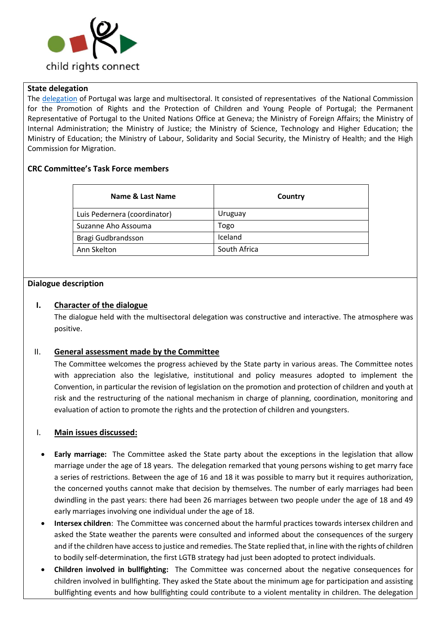

#### **State delegation**

The [delegation](Delegation:) of Portugal was large and multisectoral. It consisted of representatives of the National Commission for the Promotion of Rights and the Protection of Children and Young People of Portugal; the Permanent Representative of Portugal to the United Nations Office at Geneva; the Ministry of Foreign Affairs; the Ministry of Internal Administration; the Ministry of Justice; the Ministry of Science, Technology and Higher Education; the Ministry of Education; the Ministry of Labour, Solidarity and Social Security, the Ministry of Health; and the High Commission for Migration.

#### **CRC Committee's Task Force members**

| Name & Last Name             | Country      |
|------------------------------|--------------|
| Luis Pedernera (coordinator) | Uruguay      |
| Suzanne Aho Assouma          | Togo         |
| Bragi Gudbrandsson           | Iceland      |
| Ann Skelton                  | South Africa |

#### **Dialogue description**

#### **I. Character of the dialogue**

The dialogue held with the multisectoral delegation was constructive and interactive. The atmosphere was positive.

#### II. **General assessment made by the Committee**

The Committee welcomes the progress achieved by the State party in various areas. The Committee notes with appreciation also the legislative, institutional and policy measures adopted to implement the Convention, in particular the revision of legislation on the promotion and protection of children and youth at risk and the restructuring of the national mechanism in charge of planning, coordination, monitoring and evaluation of action to promote the rights and the protection of children and youngsters.

#### I. **Main issues discussed:**

- **Early marriage:** The Committee asked the State party about the exceptions in the legislation that allow marriage under the age of 18 years. The delegation remarked that young persons wishing to get marry face a series of restrictions. Between the age of 16 and 18 it was possible to marry but it requires authorization, the concerned youths cannot make that decision by themselves. The number of early marriages had been dwindling in the past years: there had been 26 marriages between two people under the age of 18 and 49 early marriages involving one individual under the age of 18.
- **Intersex children**: The Committee was concerned about the harmful practices towards intersex children and asked the State weather the parents were consulted and informed about the consequences of the surgery and if the children have access to justice and remedies. The State replied that, in line with the rights of children to bodily self-determination, the first LGTB strategy had just been adopted to protect individuals.
- **Children involved in bullfighting:** The Committee was concerned about the negative consequences for children involved in bullfighting. They asked the State about the minimum age for participation and assisting bullfighting events and how bullfighting could contribute to a violent mentality in children. The delegation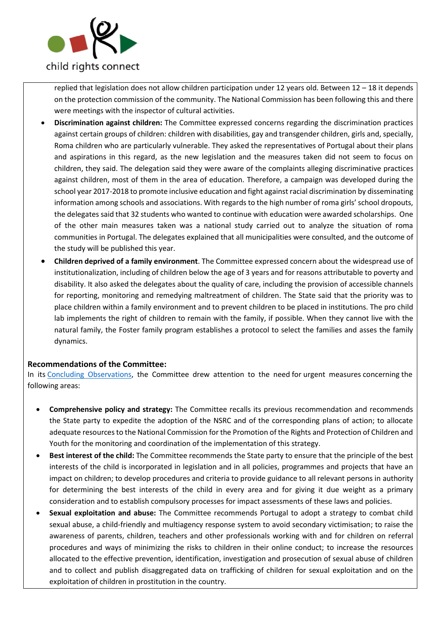

replied that legislation does not allow children participation under 12 years old. Between 12 – 18 it depends on the protection commission of the community. The National Commission has been following this and there were meetings with the inspector of cultural activities.

- **Discrimination against children:** The Committee expressed concerns regarding the discrimination practices against certain groups of children: children with disabilities, gay and transgender children, girls and, specially, Roma children who are particularly vulnerable. They asked the representatives of Portugal about their plans and aspirations in this regard, as the new legislation and the measures taken did not seem to focus on children, they said. The delegation said they were aware of the complaints alleging discriminative practices against children, most of them in the area of education. Therefore, a campaign was developed during the school year 2017-2018 to promote inclusive education and fight against racial discrimination by disseminating information among schools and associations. With regards to the high number of roma girls' school dropouts, the delegates said that 32 students who wanted to continue with education were awarded scholarships. One of the other main measures taken was a national study carried out to analyze the situation of roma communities in Portugal. The delegates explained that all municipalities were consulted, and the outcome of the study will be published this year.
- **Children deprived of a family environment**. The Committee expressed concern about the widespread use of institutionalization, including of children below the age of 3 years and for reasons attributable to poverty and disability. It also asked the delegates about the quality of care, including the provision of accessible channels for reporting, monitoring and remedying maltreatment of children. The State said that the priority was to place children within a family environment and to prevent children to be placed in institutions. The pro child lab implements the right of children to remain with the family, if possible. When they cannot live with the natural family, the Foster family program establishes a protocol to select the families and asses the family dynamics.

#### **Recommendations of the Committee:**

In its [Concluding Observations,](https://tbinternet.ohchr.org/_layouts/15/treatybodyexternal/Download.aspx?symbolno=CRC%2fC%2fPRT%2fCO%2f5-6&Lang=en) the Committee drew attention to the need for urgent measures concerning the following areas:

- **Comprehensive policy and strategy:** The Committee recalls its previous recommendation and recommends the State party to expedite the adoption of the NSRC and of the corresponding plans of action; to allocate adequate resourcesto the National Commission for the Promotion of the Rights and Protection of Children and Youth for the monitoring and coordination of the implementation of this strategy.
- **Best interest of the child:** The Committee recommends the State party to ensure that the principle of the best interests of the child is incorporated in legislation and in all policies, programmes and projects that have an impact on children; to develop procedures and criteria to provide guidance to all relevant persons in authority for determining the best interests of the child in every area and for giving it due weight as a primary consideration and to establish compulsory processes for impact assessments of these laws and policies.
- **Sexual exploitation and abuse:** The Committee recommends Portugal to adopt a strategy to combat child sexual abuse, a child-friendly and multiagency response system to avoid secondary victimisation; to raise the awareness of parents, children, teachers and other professionals working with and for children on referral procedures and ways of minimizing the risks to children in their online conduct; to increase the resources allocated to the effective prevention, identification, investigation and prosecution of sexual abuse of children and to collect and publish disaggregated data on trafficking of children for sexual exploitation and on the exploitation of children in prostitution in the country.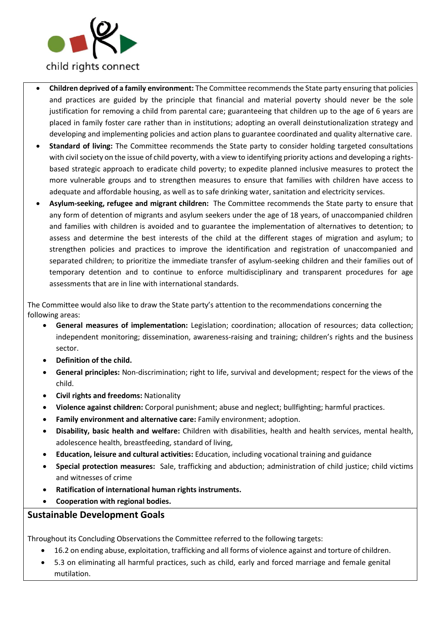

- **Children deprived of a family environment:** The Committee recommends the State party ensuring that policies and practices are guided by the principle that financial and material poverty should never be the sole justification for removing a child from parental care; guaranteeing that children up to the age of 6 years are placed in family foster care rather than in institutions; adopting an overall deinstutionalization strategy and developing and implementing policies and action plans to guarantee coordinated and quality alternative care.
- **Standard of living:** The Committee recommends the State party to consider holding targeted consultations with civil society on the issue of child poverty, with a view to identifying priority actions and developing a rightsbased strategic approach to eradicate child poverty; to expedite planned inclusive measures to protect the more vulnerable groups and to strengthen measures to ensure that families with children have access to adequate and affordable housing, as well as to safe drinking water, sanitation and electricity services.
- **Asylum-seeking, refugee and migrant children:** The Committee recommends the State party to ensure that any form of detention of migrants and asylum seekers under the age of 18 years, of unaccompanied children and families with children is avoided and to guarantee the implementation of alternatives to detention; to assess and determine the best interests of the child at the different stages of migration and asylum; to strengthen policies and practices to improve the identification and registration of unaccompanied and separated children; to prioritize the immediate transfer of asylum-seeking children and their families out of temporary detention and to continue to enforce multidisciplinary and transparent procedures for age assessments that are in line with international standards.

The Committee would also like to draw the State party's attention to the recommendations concerning the following areas:

- **General measures of implementation:** Legislation; coordination; allocation of resources; data collection; independent monitoring; dissemination, awareness-raising and training; children's rights and the business sector.
- **Definition of the child.**
- **General principles:** Non-discrimination; right to life, survival and development; respect for the views of the child.
- **Civil rights and freedoms:** Nationality
- **Violence against children:** Corporal punishment; abuse and neglect; bullfighting; harmful practices.
- **Family environment and alternative care:** Family environment; adoption.
- **Disability, basic health and welfare:** Children with disabilities, health and health services, mental health, adolescence health, breastfeeding, standard of living,
- **Education, leisure and cultural activities:** Education, including vocational training and guidance
- **Special protection measures:** Sale, trafficking and abduction; administration of child justice; child victims and witnesses of crime
- **Ratification of international human rights instruments.**
- **Cooperation with regional bodies.**

**Sustainable Development Goals**

Throughout its Concluding Observations the Committee referred to the following targets:

- 16.2 on ending abuse, exploitation, trafficking and all forms of violence against and torture of children.
- 5.3 on eliminating all harmful practices, such as child, early and forced marriage and female genital mutilation.